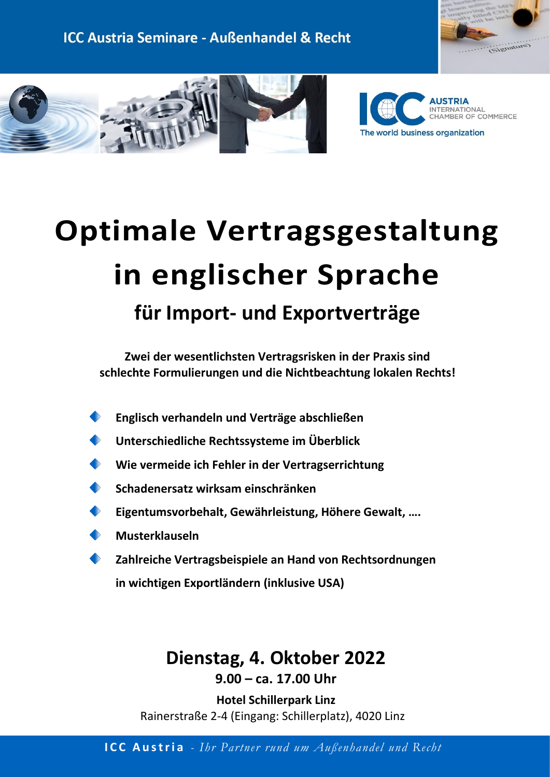

BER OF COMMERCE

ERNATIONAL



# **Optimale Vertragsgestaltung in englischer Sprache für Import- und Exportverträge**

**Zwei der wesentlichsten Vertragsrisken in der Praxis sind schlechte Formulierungen und die Nichtbeachtung lokalen Rechts!**

- **Englisch verhandeln und Verträge abschließen**
- **Unterschiedliche Rechtssysteme im Überblick**
- **Wie vermeide ich Fehler in der Vertragserrichtung**
- **Schadenersatz wirksam einschränken**
- **Eigentumsvorbehalt, Gewährleistung, Höhere Gewalt, ….**
- **Musterklauseln**
- **Zahlreiche Vertragsbeispiele an Hand von Rechtsordnungen in wichtigen Exportländern (inklusive USA)**

# **Dienstag, 4. Oktober 2022 9.00 – ca. 17.00 Uhr**

**Hotel Schillerpark Linz** Rainerstraße 2-4 (Eingang: Schillerplatz), 4020 Linz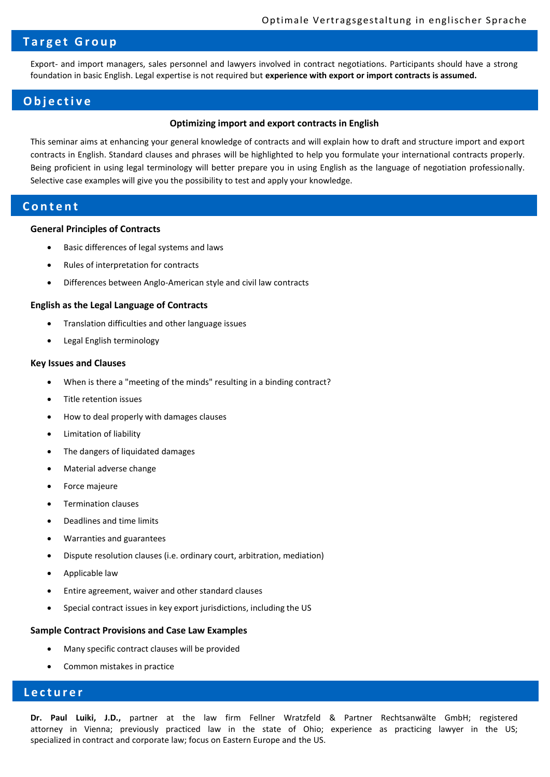# **T a r g e t G r o u p**

Export- and import managers, sales personnel and lawyers involved in contract negotiations. Participants should have a strong foundation in basic English. Legal expertise is not required but **experience with export or import contracts is assumed.**

### **O b j e c t i v e**

#### **Optimizing import and export contracts in English**

This seminar aims at enhancing your general knowledge of contracts and will explain how to draft and structure import and export contracts in English. Standard clauses and phrases will be highlighted to help you formulate your international contracts properly. Being proficient in using legal terminology will better prepare you in using English as the language of negotiation professionally. Selective case examples will give you the possibility to test and apply your knowledge.

## **C o n t e n t**

#### **General Principles of Contracts**

- Basic differences of legal systems and laws
- Rules of interpretation for contracts
- Differences between Anglo-American style and civil law contracts

#### **English as the Legal Language of Contracts**

- Translation difficulties and other language issues
- Legal English terminology

#### **Key Issues and Clauses**

- When is there a "meeting of the minds" resulting in a binding contract?
- Title retention issues
- How to deal properly with damages clauses
- Limitation of liability
- The dangers of liquidated damages
- Material adverse change
- Force majeure
- Termination clauses
- Deadlines and time limits
- Warranties and guarantees
- Dispute resolution clauses (i.e. ordinary court, arbitration, mediation)
- Applicable law
- Entire agreement, waiver and other standard clauses
- Special contract issues in key export jurisdictions, including the US

#### **Sample Contract Provisions and Case Law Examples**

- Many specific contract clauses will be provided
- Common mistakes in practice

# **L e c t u r e r**

**Dr. Paul Luiki, J.D.,** partner at the law firm Fellner Wratzfeld & Partner Rechtsanwälte GmbH; registered attorney in Vienna; previously practiced law in the state of Ohio; experience as practicing lawyer in the US; specialized in contract and corporate law; focus on Eastern Europe and the US.